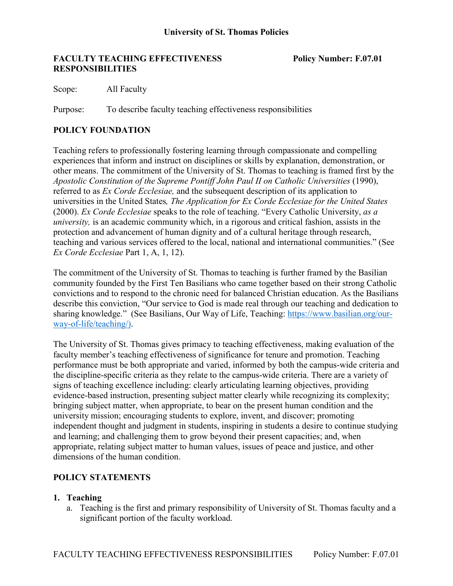## **FACULTY TEACHING EFFECTIVENESS Policy Number: F.07.01 RESPONSIBILITIES**

Scope: All Faculty

Purpose: To describe faculty teaching effectiveness responsibilities

# **POLICY FOUNDATION**

Teaching refers to professionally fostering learning through compassionate and compelling experiences that inform and instruct on disciplines or skills by explanation, demonstration, or other means. The commitment of the University of St. Thomas to teaching is framed first by the *Apostolic Constitution of the Supreme Pontiff John Paul II on Catholic Universities* (1990), referred to as *Ex Corde Ecclesiae,* and the subsequent description of its application to universities in the United States*, The Application for Ex Corde Ecclesiae for the United States* (2000). *Ex Corde Ecclesiae* speaks to the role of teaching. "Every Catholic University, *as a university*, is an academic community which, in a rigorous and critical fashion, assists in the protection and advancement of human dignity and of a cultural heritage through research, teaching and various services offered to the local, national and international communities." (See *Ex Corde Ecclesiae* Part 1, A, 1, 12).

The commitment of the University of St. Thomas to teaching is further framed by the Basilian community founded by the First Ten Basilians who came together based on their strong Catholic convictions and to respond to the chronic need for balanced Christian education. As the Basilians describe this conviction, "Our service to God is made real through our teaching and dedication to sharing knowledge." (See Basilians, Our Way of Life, Teaching: [https://www.basilian.org/our](https://www.basilian.org/our-way-of-life/teaching/))[way-of-life/teaching/\).](https://www.basilian.org/our-way-of-life/teaching/))

The University of St. Thomas gives primacy to teaching effectiveness, making evaluation of the faculty member's teaching effectiveness of significance for tenure and promotion. Teaching performance must be both appropriate and varied, informed by both the campus-wide criteria and the discipline-specific criteria as they relate to the campus-wide criteria. There are a variety of signs of teaching excellence including: clearly articulating learning objectives, providing evidence-based instruction, presenting subject matter clearly while recognizing its complexity; bringing subject matter, when appropriate, to bear on the present human condition and the university mission; encouraging students to explore, invent, and discover; promoting independent thought and judgment in students, inspiring in students a desire to continue studying and learning; and challenging them to grow beyond their present capacities; and, when appropriate, relating subject matter to human values, issues of peace and justice, and other dimensions of the human condition.

# **POLICY STATEMENTS**

### **1. Teaching**

a. Teaching is the first and primary responsibility of University of St. Thomas faculty and a significant portion of the faculty workload.